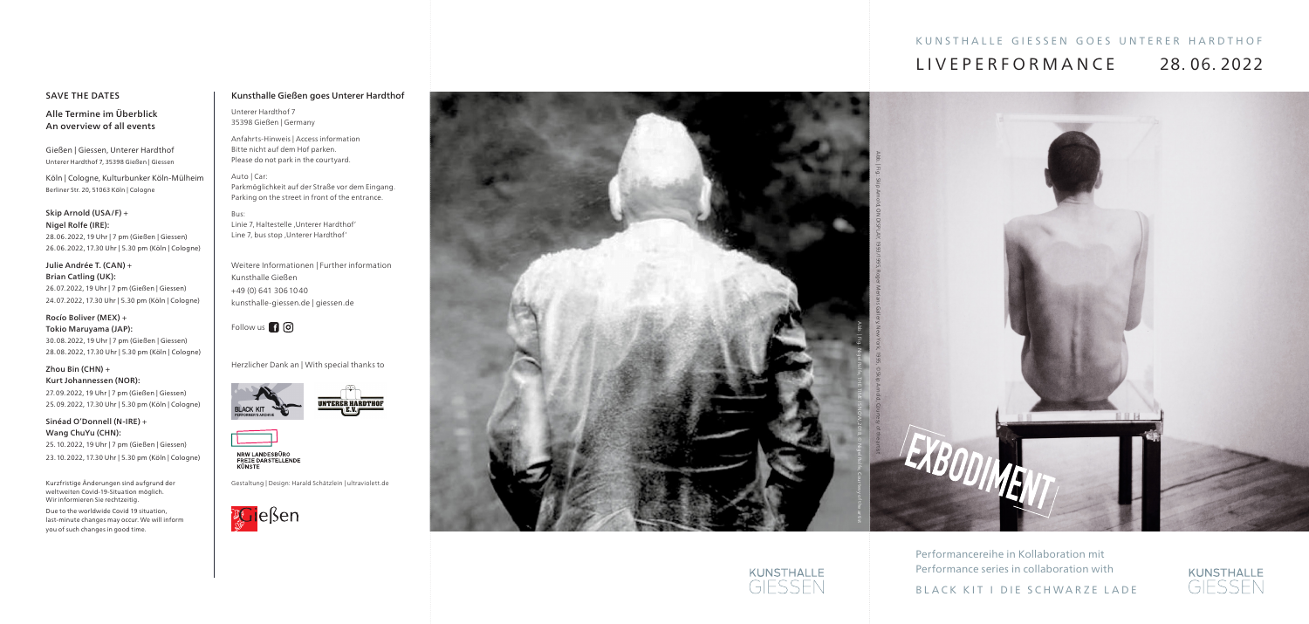# Kunsthalle Gießen goes Unterer Hardthof

Unterer Hardthof 7 35398 Gießen | Germany

Anfahrts-Hinweis | Access information Bitte nicht auf dem Hof parken. Please do not park in the courtyard.

Bus: Linie 7, Haltestelle 'Unterer Hardthof' Line 7, bus stop , Unterer Hardthof'

## Auto | Car: Parkmöglichkeit auf der Straße vor dem Eingang. Parking on the street in front of the entrance.

# KUNSTHALLE GIESSEN GOES UNTERER HARDTHOF LIVEPERFORMANC E 28. 06. 2022



Weitere Informationen | Further information Kunsthalle Gießen +49 (0) 641 3061040 kunsthalle-giessen.de | giessen.de

Follow us **n** ©

Herzlicher Dank an | With special thanks to







NRW LANDESBÜRO<br>FREIE DARSTELLENDE KIINSTE

Gestaltung | Design: Harald Schätzlein | ultraviolett.de



Performancereihe in Kollaboration mit Performance series in collaboration with

BLACK KIT I DIE SCHWARZE LADE







# SAVE THE DATES

Alle Termine im Überblick An overview of all events

Gießen | Giessen, Unterer Hardthof Unterer Hardthof 7, 35398 Gießen | Giessen

Köln | Cologne, Kulturbunker Köln-Mülheim Berliner Str. 20, 51063 Köln | Cologne

### Skip Arnold (USA/F) + Nigel Rolfe (IRE):

28.06.2022, 19 Uhr | 7 pm (Gießen | Giessen) 26.06.2022, 17.30 Uhr | 5.30 pm (Köln | Cologne)

#### Julie Andrée T. (CAN) + Brian Catling (UK):

26.07.2022, 19 Uhr | 7 pm (Gießen | Giessen) 24.07.2022, 17.30 Uhr | 5.30 pm (Köln | Cologne)

## Rocío Boliver (MEX) + Tokio Maruyama (JAP):

30.08.2022, 19 Uhr | 7 pm (Gießen | Giessen) 28.08.2022, 17.30 Uhr | 5.30 pm (Köln | Cologne)

# Zhou Bin (CHN) + Kurt Johannessen (NOR):

27.09.2022, 19 Uhr | 7 pm (Gießen | Giessen) 25.09.2022, 17.30 Uhr | 5.30 pm (Köln | Cologne)

# Sinéad O'Donnell (N-IRE) + Wang ChuYu (CHN):

25.10.2022, 19 Uhr | 7 pm (Gießen | Giessen) 23.10.2022, 17.30 Uhr | 5.30 pm (Köln | Cologne)

Kurzfristige Änderungen sind aufgrund der weltweiten Covid-19-Situation möglich. Wir informieren Sie rechtzeitig.

Due to the worldwide Covid 19 situation, last-minute changes may occur. We will inform you of such changes in good time.